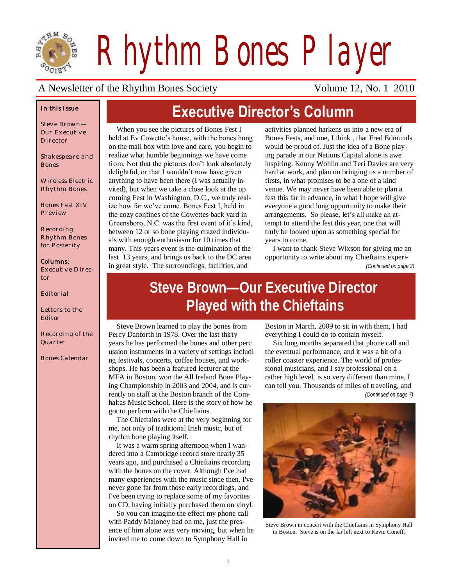

*Rhythm Bones Player*

**Executive Director's Column**

### A Newsletter of the Rhythm Bones Society Volume 12, No. 1 2010

### *In this Issue*

*Steve Brown— Our Executive Director*

*Shakespeare and Bones*

*Wireless Electric Rhythm Bones*

*Bones Fest XIV Preview*

*Recording Rhythm Bones for Posterity*

#### *Columns:*

*Executive Director*

*Editorial*

*Letters to the Editor*

*Recording of the Quarter*

*Bones Calendar*

When you see the pictures of Bones Fest I held at Ev Cowette's house, with the bones hung on the mail box with love and care, you begin to realize what humble beginnings we have come from. Not that the pictures don't look absolutely delightful, or that I wouldn't now have given anything to have been there (I was actually invited), but when we take a close look at the up coming Fest in Washington, D.C., we truly realize how far we've come. Bones Fest I, held in the cozy confines of the Cowettes back yard in Greensboro, N.C. was the first event of it's kind, between 12 or so bone playing crazed individuals with enough enthusiasm for 10 times that many. This years event is the culmination of the last 13 years, and brings us back to the DC area in great style. The surroundings, facilities, and

activities planned harkens us into a new era of Bones Fests, and one, I think , that Fred Edmunds would be proud of. Just the idea of a Bone playing parade in our Nations Capital alone is awe inspiring. Kenny Wohlin and Teri Davies are very hard at work, and plan on bringing us a number of firsts, in what promises to be a one of a kind venue. We may never have been able to plan a fest this far in advance, in what I hope will give everyone a good long opportunity to make their arrangements. So please, let's all make an attempt to attend the fest this year, one that will truly be looked upon as something special for years to come.

I want to thank Steve Wixson for giving me an opportunity to write about my Chieftains experi-

*(Continued on page 2)*

# **Steve Brown—Our Executive Director Played with the Chieftains**

Steve Brown learned to play the bones from Percy Danforth in 1978. Over the last thirty years he has performed the bones and other perc ussion instruments in a variety of settings includi ng festivals, concerts, coffee houses, and workshops. He has been a featured lecturer at the MFA in Boston, won the All Ireland Bone Playing Championship in 2003 and 2004, and is currently on staff at the Boston branch of the Comhaltas Music School. Here is the story of how he got to perform with the Chieftains.

The Chieftains were at the very beginning for me, not only of traditional Irish music, but of rhythm bone playing itself.

It was a warm spring afternoon when I wandered into a Cambridge record store nearly 35 years ago, and purchased a Chieftains recording with the bones on the cover. Although I've had many experiences with the music since then, I've never gone far from those early recordings, and I've been trying to replace some of my favorites on CD, having initially purchased them on vinyl.

So you can imagine the effect my phone call with Paddy Maloney had on me, just the presence of him alone was very moving, but when he invited me to come down to Symphony Hall in

Boston in March, 2009 to sit in with them, I had everything I could do to contain myself.

Six long months separated that phone call and the eventual performance, and it was a bit of a roller coaster experience. The world of professional musicians, and I say professional on a rather high level, is so very different than mine, I can tell you. Thousands of miles of traveling, and *(Continued on page 7)*



Steve Brown in concert with the Chieftains in Symphony Hall in Boston. Steve is on the far left next to Kevin Coneff.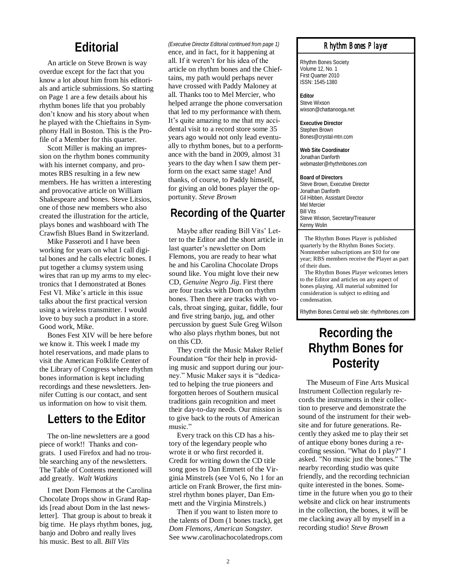An article on Steve Brown is way overdue except for the fact that you know a lot about him from his editorials and article submissions. So starting on Page 1 are a few details about his rhythm bones life that you probably don't know and his story about when he played with the Chieftains in Symphony Hall in Boston. This is the Profile of a Member for this quarter.

Scott Miller is making an impression on the rhythm bones community with his internet company, and promotes RBS resulting in a few new members. He has written a interesting and provocative article on William Shakespeare and bones. Steve Litsios, one of those new members who also created the illustration for the article, plays bones and washboard with The Crawfish Blues Band in Switzerland.

Mike Passeroti and I have been working for years on what I call digital bones and he calls electric bones. I put together a clumsy system using wires that ran up my arms to my electronics that I demonstrated at Bones Fest VI. Mike's article in this issue talks about the first practical version using a wireless transmitter. I would love to buy such a product in a store. Good work, Mike.

Bones Fest XIV will be here before we know it. This week I made my hotel reservations, and made plans to visit the American Folklife Center of the Library of Congress where rhythm bones information is kept including recordings and these newsletters. Jennifer Cutting is our contact, and sent us information on how to visit them.

### **Letters to the Editor**

The on-line newsletters are a good piece of work!! Thanks and congrats. I used Firefox and had no trouble searching any of the newsletters. The Table of Contents mentioned will add greatly. *Walt Watkins*

I met Dom Flemons at the Carolina Chocolate Drops show in Grand Rapids [read about Dom in the last newsletter]. That group is about to break it big time. He plays rhythm bones, jug, banjo and Dobro and really lives his music. Best to all. *Bill Vits*

#### *(Executive Director Editorial continued from page 1)*

**Editorial** *Editorial Editorial Editorial continued from page*<br>ence, and in fact, for it happening at all. If it weren't for his idea of the article on rhythm bones and the Chieftains, my path would perhaps never have crossed with Paddy Maloney at all. Thanks too to Mel Mercier, who helped arrange the phone conversation that led to my performance with them. It's quite amazing to me that my accidental visit to a record store some 35 years ago would not only lead eventually to rhythm bones, but to a performance with the band in 2009, almost 31 years to the day when I saw them perform on the exact same stage! And thanks, of course, to Paddy himself, for giving an old bones player the opportunity. *Steve Brown*

### **Recording of the Quarter**

Maybe after reading Bill Vits' Letter to the Editor and the short article in last quarter's newsletter on Dom Flemons, you are ready to hear what he and his Carolina Chocolate Drops sound like. You might love their new CD, *Genuine Negro Jig*. First there are four tracks with Dom on rhythm bones. Then there are tracks with vocals, throat singing, guitar, fiddle, four and five string banjo, jug, and other percussion by guest Sule Greg Wilson who also plays rhythm bones, but not on this CD.

They credit the Music Maker Relief Foundation "for their help in providing music and support during our journey." Music Maker says it is "dedicated to helping the true pioneers and forgotten heroes of Southern musical traditions gain recognition and meet their day-to-day needs. Our mission is to give back to the routs of American music."

Every track on this CD has a history of the legendary people who wrote it or who first recorded it. Credit for writing down the CD title song goes to Dan Emmett of the Virginia Minstrels (see Vol 6, No 1 for an article on Frank Brower, the first minstrel rhythm bones player, Dan Emmett and the Virginia Minstrels.)

Then if you want to listen more to the talents of Dom (1 bones track), get *Dom Flemons, American Songster.*  See www.carolinachocolatedrops.com

#### *Rhythm Bones Player*

Rhythm Bones Society Volume 12, No. 1 First Quarter 2010 ISSN: 1545-1380

**Editor** Steve Wixson wixson@chattanooga.net

**Executive Director** Stephen Brown Bones@crystal-mtn.com

**Web Site Coordinator** Jonathan Danforth webmaster@rhythmbones.com

**Board of Directors** Steve Brown, Executive Director Jonathan Danforth Gil Hibben, Assistant Director Mel Mercier Bill Vits Steve Wixson, Secretary/Treasurer Kenny Wolin

 The Rhythm Bones Player is published quarterly by the Rhythm Bones Society. Nonmember subscriptions are \$10 for one year; RBS members receive the Player as part of their dues.

 The Rhythm Bones Player welcomes letters to the Editor and articles on any aspect of bones playing. All material submitted for consideration is subject to editing and condensation.

Rhythm Bones Central web site: rhythmbones.com

# **Recording the Rhythm Bones for Posterity**

The Museum of Fine Arts Musical Instrument Collection regularly records the instruments in their collection to preserve and demonstrate the sound of the instrument for their website and for future generations. Recently they asked me to play their set of antique ebony bones during a recording session. "What do I play?" I asked. "No music just the bones." The nearby recording studio was quite friendly, and the recording technician quite interested in the bones. Sometime in the future when you go to their website and click on hear instruments in the collection, the bones, it will be me clacking away all by myself in a recording studio! *Steve Brown*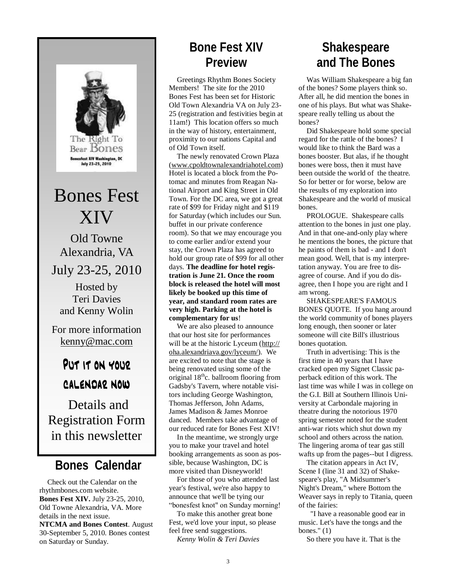

**Bear Bones** sfest XIV Washington, DC July 23-25, 2010

Bones Fest XIV

Old Towne Alexandria, VA

July 23-25, 2010 Hosted by

Teri Davies and Kenny Wolin

For more information kenny@mac.com

# PUT IT ON YOUR CALENDAR NOW

Details and Registration Form in this newsletter

# **Bones Calendar**

Check out the Calendar on the rhythmbones.com website. **Bones Fest XIV.** July 23-25, 2010, Old Towne Alexandria, VA. More details in the next issue.

**NTCMA and Bones Contest**. August 30-September 5, 2010. Bones contest on Saturday or Sunday.

# **Bone Fest XIV Preview**

Greetings Rhythm Bones Society Members! The site for the 2010 Bones Fest has been set for Historic Old Town Alexandria VA on July 23- 25 (registration and festivities begin at 11am!) This location offers so much in the way of history, entertainment, proximity to our nations Capital and of Old Town itself.

The newly renovated Crown Plaza ([www.cpoldtownalexandriahotel.com\)](http://www.cpoldtownalexandriahotel.com)  Hotel is located a block from the Potomac and minutes from Reagan National Airport and King Street in Old Town. For the DC area, we got a great rate of \$99 for Friday night and \$119 for Saturday (which includes our Sun. buffet in our private conference room). So that we may encourage you to come earlier and/or extend your stay, the Crown Plaza has agreed to hold our group rate of \$99 for all other days. **The deadline for hotel registration is June 21. Once the room block is released the hotel will most likely be booked up this time of year, and standard room rates are very high. Parking at the hotel is complementary for us**!

We are also pleased to announce that our host site for performances will be at the historic Lyceum ([http://](http://oha.alexandriava.gov/lyceum/%3C/span%3E%3C/a%3E%29.%3Cspan%3E%C2%A0) [oha.alexandriava.gov/lyceum/\)](http://oha.alexandriava.gov/lyceum/%3C/span%3E%3C/a%3E%29.%3Cspan%3E%C2%A0). We are excited to note that the stage is being renovated using some of the original  $18<sup>th</sup>c$ . ballroom flooring from Gadsby's Tavern, where notable visitors including George Washington, Thomas Jefferson, John Adams, James Madison & James Monroe danced. Members take advantage of our reduced rate for Bones Fest XIV!

In the meantime, we strongly urge you to make your travel and hotel booking arrangements as soon as possible, because Washington, DC is more visited than Disneyworld!

For those of you who attended last year's festival, we're also happy to announce that we'll be tying our "bonesfest knot" on Sunday morning!

To make this another great bone Fest, we'd love your input, so please feel free send suggestions.

*Kenny Wolin & Teri Davies*

# **Shakespeare and The Bones**

Was William Shakespeare a big fan of the bones? Some players think so. After all, he did mention the bones in one of his plays. But what was Shakespeare really telling us about the bones?

Did Shakespeare hold some special regard for the rattle of the bones? I would like to think the Bard was a bones booster. But alas, if he thought bones were boss, then it must have been outside the world of the theatre. So for better or for worse, below are the results of my exploration into Shakespeare and the world of musical bones.

PROLOGUE. Shakespeare calls attention to the bones in just one play. And in that one-and-only play where he mentions the bones, the picture that he paints of them is bad - and I don't mean good. Well, that is my interpretation anyway. You are free to disagree of course. And if you do disagree, then I hope you are right and I am wrong.

SHAKESPEARE'S FAMOUS BONES QUOTE. If you hang around the world community of bones players long enough, then sooner or later someone will cite Bill's illustrious bones quotation.

Truth in advertising: This is the first time in 40 years that I have cracked open my Signet Classic paperback edition of this work. The last time was while I was in college on the G.I. Bill at Southern Illinois University at Carbondale majoring in theatre during the notorious 1970 spring semester noted for the student anti-war riots which shut down my school and others across the nation. The lingering aroma of tear gas still wafts up from the pages--but I digress.

The citation appears in Act IV, Scene I (line 31 and 32) of Shakespeare's play, "A Midsummer's Night's Dream," where Bottom the Weaver says in reply to Titania, queen of the fairies:

 "I have a reasonable good ear in music. Let's have the tongs and the bones." (1)

So there you have it. That is the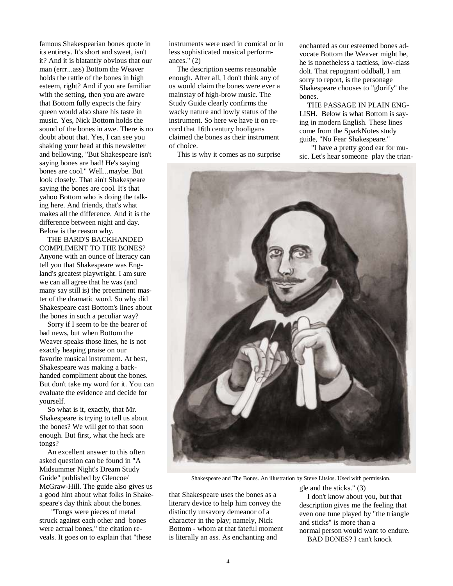famous Shakespearian bones quote in its entirety. It's short and sweet, isn't it? And it is blatantly obvious that our man (errr...ass) Bottom the Weaver holds the rattle of the bones in high esteem, right? And if you are familiar with the setting, then you are aware that Bottom fully expects the fairy queen would also share his taste in music. Yes, Nick Bottom holds the sound of the bones in awe. There is no doubt about that. Yes, I can see you shaking your head at this newsletter and bellowing, "But Shakespeare isn't saying bones are bad! He's saying bones are cool." Well...maybe. But look closely. That ain't Shakespeare saying the bones are cool. It's that yahoo Bottom who is doing the talking here. And friends, that's what makes all the difference. And it is the difference between night and day. Below is the reason why.

THE BARD'S BACKHANDED COMPLIMENT TO THE BONES? Anyone with an ounce of literacy can tell you that Shakespeare was England's greatest playwright. I am sure we can all agree that he was (and many say still is) the preeminent master of the dramatic word. So why did Shakespeare cast Bottom's lines about the bones in such a peculiar way?

Sorry if I seem to be the bearer of bad news, but when Bottom the Weaver speaks those lines, he is not exactly heaping praise on our favorite musical instrument. At best, Shakespeare was making a backhanded compliment about the bones. But don't take my word for it. You can evaluate the evidence and decide for yourself.

So what is it, exactly, that Mr. Shakespeare is trying to tell us about the bones? We will get to that soon enough. But first, what the heck are tongs?

An excellent answer to this often asked question can be found in "A Midsummer Night's Dream Study Guide" published by Glencoe/ McGraw-Hill. The guide also gives us a good hint about what folks in Shakespeare's day think about the bones.

 "Tongs were pieces of metal struck against each other and bones were actual bones," the citation reveals. It goes on to explain that "these instruments were used in comical or in less sophisticated musical performances." (2)

The description seems reasonable enough. After all, I don't think any of us would claim the bones were ever a mainstay of high-brow music. The Study Guide clearly confirms the wacky nature and lowly status of the instrument. So here we have it on record that 16th century hooligans claimed the bones as their instrument of choice.

This is why it comes as no surprise

enchanted as our esteemed bones advocate Bottom the Weaver might be, he is nonetheless a tactless, low-class dolt. That repugnant oddball, I am sorry to report, is the personage Shakespeare chooses to "glorify" the bones.

THE PASSAGE IN PLAIN ENG-LISH. Below is what Bottom is saying in modern English. These lines come from the SparkNotes study guide, "No Fear Shakespeare."

 "I have a pretty good ear for music. Let's hear someone play the trian-



Shakespeare and The Bones. An illustration by Steve Litsios. Used with permission.

that Shakespeare uses the bones as a literary device to help him convey the distinctly unsavory demeanor of a character in the play; namely, Nick Bottom - whom at that fateful moment is literally an ass. As enchanting and

gle and the sticks." (3)

I don't know about you, but that description gives me the feeling that even one tune played by "the triangle and sticks" is more than a normal person would want to endure.

BAD BONES? I can't knock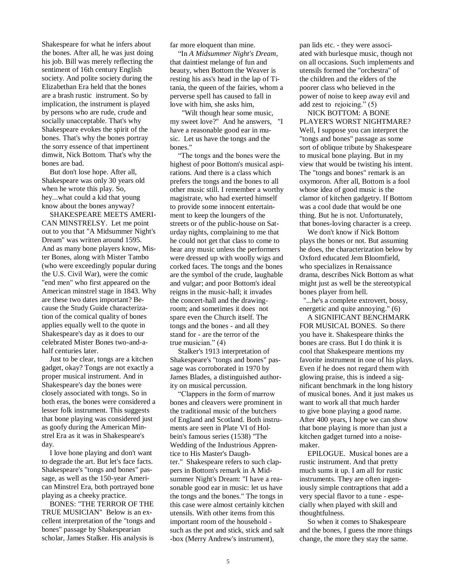Shakespeare for what he infers about the bones. After all, he was just doing his job. Bill was merely reflecting the sentiment of 16th century English society. And polite society during the Elizabethan Era held that the bones are a brash rustic instrument. So by implication, the instrument is played by persons who are rude, crude and socially unacceptable. That's why Shakespeare evokes the spirit of the bones. That's why the bones portray the sorry essence of that impertinent dimwit, Nick Bottom. That's why the bones are bad.

But don't lose hope. After all, Shakespeare was only 30 years old when he wrote this play. So, hey...what could a kid that young know about the bones anyway?

SHAKESPEARE MEETS AMERI-CAN MINSTRELSY. Let me point out to you that "A Midsummer Night's Dream" was written around 1595. And as many bone players know, Mister Bones, along with Mister Tambo (who were exceedingly popular during the U.S. Civil War), were the comic "end men" who first appeared on the American minstrel stage in 1843. Why are these two dates important? Because the Study Guide characterization of the comical quality of bones applies equally well to the quote in Shakespeare's day as it does to our celebrated Mister Bones two-and-ahalf centuries later.

Just to be clear, tongs are a kitchen gadget, okay? Tongs are not exactly a proper musical instrument. And in Shakespeare's day the bones were closely associated with tongs. So in both eras, the bones were considered a lesser folk instrument. This suggests that bone playing was considered just as goofy during the American Minstrel Era as it was in Shakespeare's day.

I love bone playing and don't want to degrade the art. But let's face facts. Shakespeare's "tongs and bones" passage, as well as the 150-year American Minstrel Era, both portrayed bone playing as a cheeky practice.

BONES: "THE TERROR OF THE TRUE MUSICIAN" Below is an excellent interpretation of the "tongs and bones" passage by Shakespearian scholar, James Stalker. His analysis is

far more eloquent than mine.

"In *A Midsummer Night's Dream*, that daintiest melange of fun and beauty, when Bottom the Weaver is resting his ass's head in the lap of Titania, the queen of the fairies, whom a perverse spell has caused to fall in love with him, she asks him,

 "Wilt though hear some music, my sweet love?" And he answers, "I have a reasonable good ear in music. Let us have the tongs and the bones."

"The tongs and the bones were the highest of poor Bottom's musical aspirations. And there is a class which prefers the tongs and the bones to all other music still. I remember a worthy magistrate, who had exerted himself to provide some innocent entertainment to keep the loungers of the streets or of the public-house on Saturday nights, complaining to me that he could not get that class to come to hear any music unless the performers were dressed up with woolly wigs and corked faces. The tongs and the bones are the symbol of the crude, laughable and vulgar; and poor Bottom's ideal reigns in the music-hall; it invades the concert-hall and the drawingroom; and sometimes it does not spare even the Church itself. The tongs and the bones - and all they stand for - are the terror of the true musician." (4)

Stalker's 1913 interpretation of Shakespeare's "tongs and bones" passage was corroborated in 1970 by James Blades, a distinguished authority on musical percussion.

"Clappers in the form of marrow bones and cleavers were prominent in the traditional music of the butchers of England and Scotland. Both instruments are seen in Plate VI of Holbein's famous series (1538) "The Wedding of the Industrious Apprentice to His Master's Daughter." Shakespeare refers to such clappers in Bottom's remark in A Midsummer Night's Dream: "I have a reasonable good ear in music: let us have the tongs and the bones." The tongs in this case were almost certainly kitchen utensils. With other items from this important room of the household such as the pot and stick, stick and salt -box (Merry Andrew's instrument),

pan lids etc. - they were associated with burlesque music, though not on all occasions. Such implements and utensils formed the "orchestra" of the children and the elders of the poorer class who believed in the power of noise to keep away evil and add zest to rejoicing." (5)

NICK BOTTOM: A BONE PLAYER'S WORST NIGHTMARE? Well, I suppose you can interpret the "tongs and bones" passage as some sort of oblique tribute by Shakespeare to musical bone playing. But in my view that would be twisting his intent. The "tongs and bones" remark is an oxymoron. After all, Bottom is a fool whose idea of good music is the clamor of kitchen gadgetry. If Bottom was a cool dude that would be one thing. But he is not. Unfortunately, that bones-loving character is a creep.

We don't know if Nick Bottom plays the bones or not. But assuming he does, the characterization below by Oxford educated Jem Bloomfield, who specializes in Renaissance drama, describes Nick Bottom as what might just as well be the stereotypical bones player from hell.

 "...he's a complete extrovert, bossy, energetic and quite annoying." (6)

A SIGNIFICANT BENCHMARK FOR MUSICAL BONES. So there you have it. Shakespeare thinks the bones are crass. But I do think it is cool that Shakespeare mentions my favorite instrument in one of his plays. Even if he does not regard them with glowing praise, this is indeed a significant benchmark in the long history of musical bones. And it just makes us want to work all that much harder to give bone playing a good name. After 400 years, I hope we can show that bone playing is more than just a kitchen gadget turned into a noisemaker.

EPILOGUE. Musical bones are a rustic instrument. And that pretty much sums it up. I am all for rustic instruments. They are often ingeniously simple contraptions that add a very special flavor to a tune - especially when played with skill and thoughtfulness.

So when it comes to Shakespeare and the bones, I guess the more things change, the more they stay the same.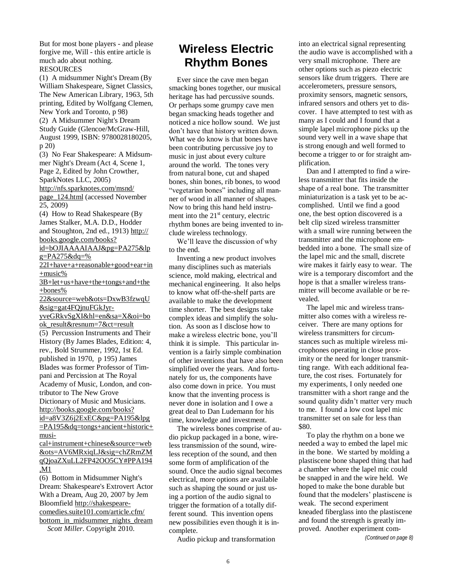But for most bone players - and please forgive me, Will - this entire article is much ado about nothing. **RESOURCES** 

(1) A midsummer Night's Dream (By William Shakespeare, Signet Classics, The New American Library, 1963, 5th printing, Edited by Wolfgang Clemen, New York and Toronto, p 98) (2) A Midsummer Night's Dream Study Guide (Glencoe/McGraw-Hill, August 1999, ISBN: 9780028180205, p 20)

(3) No Fear Shakespeare: A Midsummer Night's Dream (Act 4, Scene 1, Page 2, Edited by John Crowther, SparkNotes LLC, 2005) [http://nfs.sparknotes.com/msnd/](http://nfs.sparknotes.com/msnd/page_124.html) [page\\_124.html](http://nfs.sparknotes.com/msnd/page_124.html) (accessed November

25, 2009) (4) How to Read Shakespeare (By

James Stalker, M.A. D.D., Hodder and Stoughton, 2nd ed., 1913) [http://](http://books.google.com/books?id=bOJIAAAAIAAJ&pg=PA275&lpg=PA275&dq=%22I+have+a+reasonable+good+ear+in+music%3B+let+us+have+the+tongs+and+the+bones%22&source=web&ots=DxwB3fzwqU&sig=gat4FQjnuFGkJyr-yveGRkvSgXI&hl=en&sa=X&oi=book_result&resnum=7&ct=result) [books.google.com/books?](http://books.google.com/books?id=bOJIAAAAIAAJ&pg=PA275&lpg=PA275&dq=%22I+have+a+reasonable+good+ear+in+music%3B+let+us+have+the+tongs+and+the+bones%22&source=web&ots=DxwB3fzwqU&sig=gat4FQjnuFGkJyr-yveGRkvSgXI&hl=en&sa=X&oi=book_result&resnum=7&ct=result) [id=bOJIAAAAIAAJ&pg=PA275&lp](http://books.google.com/books?id=bOJIAAAAIAAJ&pg=PA275&lpg=PA275&dq=%22I+have+a+reasonable+good+ear+in+music%3B+let+us+have+the+tongs+and+the+bones%22&source=web&ots=DxwB3fzwqU&sig=gat4FQjnuFGkJyr-yveGRkvSgXI&hl=en&sa=X&oi=book_result&resnum=7&ct=result)

 $g = PA275 \& dq = \%$ 

[22I+have+a+reasonable+good+ear+in](http://books.google.com/books?id=bOJIAAAAIAAJ&pg=PA275&lpg=PA275&dq=%22I+have+a+reasonable+good+ear+in+music%3B+let+us+have+the+tongs+and+the+bones%22&source=web&ots=DxwB3fzwqU&sig=gat4FQjnuFGkJyr-yveGRkvSgXI&hl=en&sa=X&oi=book_result&resnum=7&ct=result)  $+music%$ 

[3B+let+us+have+the+tongs+and+the](http://books.google.com/books?id=bOJIAAAAIAAJ&pg=PA275&lpg=PA275&dq=%22I+have+a+reasonable+good+ear+in+music%3B+let+us+have+the+tongs+and+the+bones%22&source=web&ots=DxwB3fzwqU&sig=gat4FQjnuFGkJyr-yveGRkvSgXI&hl=en&sa=X&oi=book_result&resnum=7&ct=result) [+bones%](http://books.google.com/books?id=bOJIAAAAIAAJ&pg=PA275&lpg=PA275&dq=%22I+have+a+reasonable+good+ear+in+music%3B+let+us+have+the+tongs+and+the+bones%22&source=web&ots=DxwB3fzwqU&sig=gat4FQjnuFGkJyr-yveGRkvSgXI&hl=en&sa=X&oi=book_result&resnum=7&ct=result)

[22&source=web&ots=DxwB3fzwqU](http://books.google.com/books?id=bOJIAAAAIAAJ&pg=PA275&lpg=PA275&dq=%22I+have+a+reasonable+good+ear+in+music%3B+let+us+have+the+tongs+and+the+bones%22&source=web&ots=DxwB3fzwqU&sig=gat4FQjnuFGkJyr-yveGRkvSgXI&hl=en&sa=X&oi=book_result&resnum=7&ct=result) [&sig=gat4FQjnuFGkJyr-](http://books.google.com/books?id=bOJIAAAAIAAJ&pg=PA275&lpg=PA275&dq=%22I+have+a+reasonable+good+ear+in+music%3B+let+us+have+the+tongs+and+the+bones%22&source=web&ots=DxwB3fzwqU&sig=gat4FQjnuFGkJyr-yveGRkvSgXI&hl=en&sa=X&oi=book_result&resnum=7&ct=result)

[yveGRkvSgXI&hl=en&sa=X&oi=bo](http://books.google.com/books?id=bOJIAAAAIAAJ&pg=PA275&lpg=PA275&dq=%22I+have+a+reasonable+good+ear+in+music%3B+let+us+have+the+tongs+and+the+bones%22&source=web&ots=DxwB3fzwqU&sig=gat4FQjnuFGkJyr-yveGRkvSgXI&hl=en&sa=X&oi=book_result&resnum=7&ct=result) [ok\\_result&resnum=7&ct=result](http://books.google.com/books?id=bOJIAAAAIAAJ&pg=PA275&lpg=PA275&dq=%22I+have+a+reasonable+good+ear+in+music%3B+let+us+have+the+tongs+and+the+bones%22&source=web&ots=DxwB3fzwqU&sig=gat4FQjnuFGkJyr-yveGRkvSgXI&hl=en&sa=X&oi=book_result&resnum=7&ct=result) (5) Percussion Instruments and Their History (By James Blades, Edition: 4, rev., Bold Strummer, 1992, 1st Ed. published in 1970, p 195) James Blades was former Professor of Timpani and Percission at The Royal Academy of Music, London, and contributor to The New Grove Dictionary of Music and Musicians. [http://books.google.com/books?](http://books.google.com/books?id=a8V3Z6j2ExEC&pg=PA195&lpg=PA195&dq=tongs+ancient+historic+musical+instrument+-chinese&source=web&ots=AV6MRxiqLJ&sig=chZRmZMqQjoaZXuLL2FP42OO5CY#PPA194,M1) [id=a8V3Z6j2ExEC&pg=PA195&lpg](http://books.google.com/books?id=a8V3Z6j2ExEC&pg=PA195&lpg=PA195&dq=tongs+ancient+historic+musical+instrument+-chinese&source=web&ots=AV6MRxiqLJ&sig=chZRmZMqQjoaZXuLL2FP42OO5CY#PPA194,M1)

[=PA195&dq=tongs+ancient+historic+](http://books.google.com/books?id=a8V3Z6j2ExEC&pg=PA195&lpg=PA195&dq=tongs+ancient+historic+musical+instrument+-chinese&source=web&ots=AV6MRxiqLJ&sig=chZRmZMqQjoaZXuLL2FP42OO5CY#PPA194,M1) [musi-](http://books.google.com/books?id=a8V3Z6j2ExEC&pg=PA195&lpg=PA195&dq=tongs+ancient+historic+musical+instrument+-chinese&source=web&ots=AV6MRxiqLJ&sig=chZRmZMqQjoaZXuLL2FP42OO5CY#PPA194,M1)

[cal+instrument+chinese&source=web](http://books.google.com/books?id=a8V3Z6j2ExEC&pg=PA195&lpg=PA195&dq=tongs+ancient+historic+musical+instrument+-chinese&source=web&ots=AV6MRxiqLJ&sig=chZRmZMqQjoaZXuLL2FP42OO5CY#PPA194,M1) [&ots=AV6MRxiqLJ&sig=chZRmZM](http://books.google.com/books?id=a8V3Z6j2ExEC&pg=PA195&lpg=PA195&dq=tongs+ancient+historic+musical+instrument+-chinese&source=web&ots=AV6MRxiqLJ&sig=chZRmZMqQjoaZXuLL2FP42OO5CY#PPA194,M1) [qQjoaZXuLL2FP42OO5CY#PPA194](http://books.google.com/books?id=a8V3Z6j2ExEC&pg=PA195&lpg=PA195&dq=tongs+ancient+historic+musical+instrument+-chinese&source=web&ots=AV6MRxiqLJ&sig=chZRmZMqQjoaZXuLL2FP42OO5CY#PPA194,M1) [,M1](http://books.google.com/books?id=a8V3Z6j2ExEC&pg=PA195&lpg=PA195&dq=tongs+ancient+historic+musical+instrument+-chinese&source=web&ots=AV6MRxiqLJ&sig=chZRmZMqQjoaZXuLL2FP42OO5CY#PPA194,M1)

(6) Bottom in Midsummer Night's Dream: Shakespeare's Extrovert Actor With a Dream, Aug 20, 2007 by Jem Bloomfield [http://shakespeare](http://shakespeare-comedies.suite101.com/article.cfm/bottom_in_midsummer_nights_dream)[comedies.suite101.com/article.cfm/](http://shakespeare-comedies.suite101.com/article.cfm/bottom_in_midsummer_nights_dream) [bottom\\_in\\_midsummer\\_nights\\_dream](http://shakespeare-comedies.suite101.com/article.cfm/bottom_in_midsummer_nights_dream) *Scott Miller*. Copyright 2010.

## **Wireless Electric Rhythm Bones**

Ever since the cave men began smacking bones together, our musical heritage has had percussive sounds. Or perhaps some grumpy cave men began smacking heads together and noticed a nice hollow sound. We just don't have that history written down. What we do know is that bones have been contributing percussive joy to music in just about every culture around the world. The tones very from natural bone, cut and shaped bones, shin bones, rib bones, to wood "vegetarian bones" including all manner of wood in all manner of shapes. Now to bring this hand held instrument into the  $21<sup>st</sup>$  century, electric rhythm bones are being invented to include wireless technology.

We'll leave the discussion of why to the end.

Inventing a new product involves many disciplines such as materials science, mold making, electrical and mechanical engineering. It also helps to know what off-the-shelf parts are available to make the development time shorter. The best designs take complex ideas and simplify the solution. As soon as I disclose how to make a wireless electric bone, you'll think it is simple. This particular invention is a fairly simple combination of other inventions that have also been simplified over the years. And fortunately for us, the components have also come down in price. You must know that the inventing process is never done in isolation and I owe a great deal to Dan Ludemann for his time, knowledge and investment.

The wireless bones comprise of audio pickup packaged in a bone, wireless transmission of the sound, wireless reception of the sound, and then some form of amplification of the sound. Once the audio signal becomes electrical, more options are available such as shaping the sound or just using a portion of the audio signal to trigger the formation of a totally different sound. This invention opens new possibilities even though it is incomplete.

Audio pickup and transformation

into an electrical signal representing the audio wave is accomplished with a very small microphone. There are other options such as piezo electric sensors like drum triggers. There are accelerometers, pressure sensors, proximity sensors, magnetic sensors, infrared sensors and others yet to discover. I have attempted to test with as many as I could and I found that a simple lapel microphone picks up the sound very well in a wave shape that is strong enough and well formed to become a trigger to or for straight amplification.

Dan and I attempted to find a wireless transmitter that fits inside the shape of a real bone. The transmitter miniaturization is a task yet to be accomplished. Until we find a good one, the best option discovered is a belt clip sized wireless transmitter with a small wire running between the transmitter and the microphone embedded into a bone. The small size of the lapel mic and the small, discrete wire makes it fairly easy to wear. The wire is a temporary discomfort and the hope is that a smaller wireless transmitter will become available or be revealed.

The lapel mic and wireless transmitter also comes with a wireless receiver. There are many options for wireless transmitters for circumstances such as multiple wireless microphones operating in close proximity or the need for longer transmitting range. With each additional feature, the cost rises. Fortunately for my experiments, I only needed one transmitter with a short range and the sound quality didn't matter very much to me. I found a low cost lapel mic transmitter set on sale for less than \$80.

To play the rhythm on a bone we needed a way to embed the lapel mic in the bone. We started by molding a plastiscene bone shaped thing that had a chamber where the lapel mic could be snapped in and the wire held. We hoped to make the bone durable but found that the modelers' plastiscene is weak. The second experiment kneaded fiberglass into the plastiscene and found the strength is greatly improved. Another experiment com-

*(Continued on page 8)*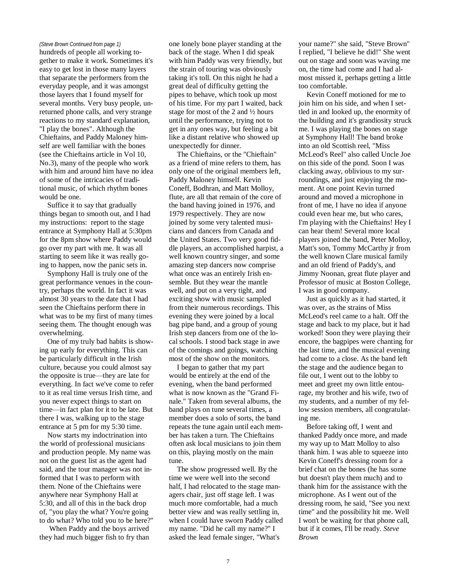#### *(Steve Brown Continued from page 1)*

hundreds of people all working together to make it work. Sometimes it's easy to get lost in those many layers that separate the performers from the everyday people, and it was amongst those layers that I found myself for several months. Very busy people, unreturned phone calls, and very strange reactions to my standard explanation, "I play the bones". Although the Chieftains, and Paddy Maloney himself are well familiar with the bones (see the Chieftains article in Vol 10, No.3), many of the people who work with him and around him have no idea of some of the intricacies of traditional music, of which rhythm bones would be one.

Suffice it to say that gradually things began to smooth out, and I had my instructions: report to the stage entrance at Symphony Hall at 5:30pm for the 8pm show where Paddy would go over my part with me. It was all starting to seem like it was really going to happen, now the panic sets in.

Symphony Hall is truly one of the great performance venues in the country, perhaps the world. In fact it was almost 30 years to the date that I had seen the Chieftains perform there in what was to be my first of many times seeing them. The thought enough was overwhelming.

One of my truly bad habits is showing up early for everything. This can be particularly difficult in the Irish culture, because you could almost say the opposite is true—they are late for everything. In fact we've come to refer to it as real time versus Irish time, and you never expect things to start on time—in fact plan for it to be late. But there I was, walking up to the stage entrance at 5 pm for my 5:30 time.

Now starts my indoctrination into the world of professional musicians and production people. My name was not on the guest list as the agent had said, and the tour manager was not informed that I was to perform with them. None of the Chieftains were anywhere near Symphony Hall at 5:30, and all of this in the back drop of, "you play the what? You're going to do what? Who told you to be here?"

When Paddy and the boys arrived they had much bigger fish to fry than

one lonely bone player standing at the back of the stage. When I did speak with him Paddy was very friendly, but the strain of touring was obviously taking it's toll. On this night he had a great deal of difficulty getting the pipes to behave, which took up most of his time. For my part I waited, back stage for most of the 2 and ½ hours until the performance, trying not to get in any ones way, but feeling a bit like a distant relative who showed up unexpectedly for dinner.

The Chieftains, or the "Chieftain" as a friend of mine refers to them, has only one of the original members left, Paddy Maloney himself. Kevin Coneff, Bodhran, and Matt Molloy, flute, are all that remain of the core of the band having joined in 1976, and 1979 respectively. They are now joined by some very talented musicians and dancers from Canada and the United States. Two very good fiddle players, an accomplished harpist, a well known country singer, and some amazing step dancers now comprise what once was an entirely Irish ensemble. But they wear the mantle well, and put on a very tight, and exciting show with music sampled from their numerous recordings. This evening they were joined by a local bag pipe band, and a group of young Irish step dancers from one of the local schools. I stood back stage in awe of the comings and goings, watching most of the show on the monitors.

I began to gather that my part would be entirely at the end of the evening, when the band performed what is now known as the "Grand Finale." Taken from several albums, the band plays on tune several times, a member does a solo of sorts, the band repeats the tune again until each member has taken a turn. The Chieftains often ask local musicians to join them on this, playing mostly on the main tune.

The show progressed well. By the time we were well into the second half, I had relocated to the stage managers chair, just off stage left. I was much more comfortable, had a much better view and was really settling in, when I could have sworn Paddy called my name. "Did he call my name?" I asked the lead female singer, "What's

your name?" she said, "Steve Brown" I replied, "I believe he did!" She went out on stage and soon was waving me on, the time had come and I had almost missed it, perhaps getting a little too comfortable.

Kevin Coneff motioned for me to join him on his side, and when I settled in and looked up, the enormity of the building and it's grandiosity struck me. I was playing the bones on stage at Symphony Hall! The band broke into an old Scottish reel, "Miss McLeod's Reel" also called Uncle Joe on this side of the pond. Soon I was clacking away, oblivious to my surroundings, and just enjoying the moment. At one point Kevin turned around and moved a microphone in front of me, I have no idea if anyone could even hear me, but who cares, I'm playing with the Chieftains! Hey I can hear them! Several more local players joined the band, Peter Molloy, Matt's son, Tommy McCarthy jr from the well known Clare musical family and an old friend of Paddy's, and Jimmy Noonan, great flute player and Professor of music at Boston College, I was in good company.

Just as quickly as it had started, it was over, as the strains of Miss McLeod's reel came to a halt. Off the stage and back to my place, but it had worked! Soon they were playing their encore, the bagpipes were chanting for the last time, and the musical evening had come to a close. As the band left the stage and the audience began to file out, I went out to the lobby to meet and greet my own little entourage, my brother and his wife, two of my students, and a number of my fellow session members, all congratulating me.

Before taking off, I went and thanked Paddy once more, and made my way up to Matt Molloy to also thank him. I was able to squeeze into Kevin Coneff's dressing room for a brief chat on the bones (he has some but doesn't play them much) and to thank him for the assistance with the microphone. As I went out of the dressing room, he said, "See you next time" and the possibility hit me. Well I won't be waiting for that phone call, but if it comes, I'll be ready. *Steve Brown*